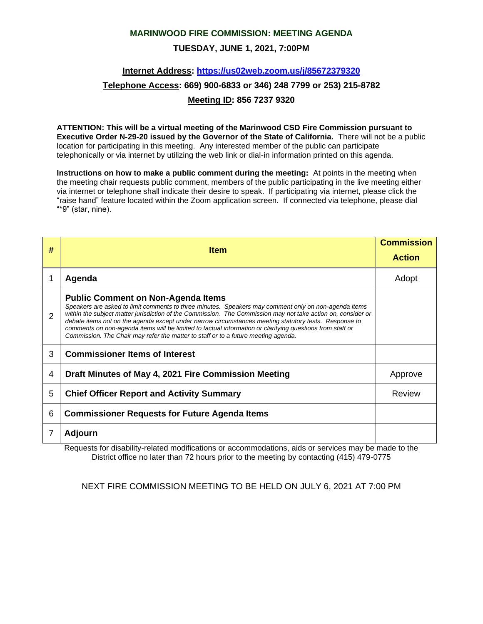#### **MARINWOOD FIRE COMMISSION: MEETING AGENDA**

### **TUESDAY, JUNE 1, 2021, 7:00PM**

### **Internet Address:<https://us02web.zoom.us/j/85672379320>**

# **Telephone Access: 669) 900-6833 or 346) 248 7799 or 253) 215-8782**

#### **Meeting ID: 856 7237 9320**

**ATTENTION: This will be a virtual meeting of the Marinwood CSD Fire Commission pursuant to Executive Order N-29-20 issued by the Governor of the State of California.** There will not be a public location for participating in this meeting. Any interested member of the public can participate telephonically or via internet by utilizing the web link or dial-in information printed on this agenda.

**Instructions on how to make a public comment during the meeting:** At points in the meeting when the meeting chair requests public comment, members of the public participating in the live meeting either via internet or telephone shall indicate their desire to speak. If participating via internet, please click the "raise hand" feature located within the Zoom application screen. If connected via telephone, please dial "\*9" (star, nine).

| # | <b>Item</b>                                                                                                                                                                                                                                                                                                                                                                                                                                                                                                                                                                   | <b>Commission</b><br><b>Action</b> |
|---|-------------------------------------------------------------------------------------------------------------------------------------------------------------------------------------------------------------------------------------------------------------------------------------------------------------------------------------------------------------------------------------------------------------------------------------------------------------------------------------------------------------------------------------------------------------------------------|------------------------------------|
|   | Agenda                                                                                                                                                                                                                                                                                                                                                                                                                                                                                                                                                                        | Adopt                              |
| 2 | <b>Public Comment on Non-Agenda Items</b><br>Speakers are asked to limit comments to three minutes. Speakers may comment only on non-agenda items<br>within the subject matter jurisdiction of the Commission. The Commission may not take action on, consider or<br>debate items not on the agenda except under narrow circumstances meeting statutory tests. Response to<br>comments on non-agenda items will be limited to factual information or clarifying questions from staff or<br>Commission. The Chair may refer the matter to staff or to a future meeting agenda. |                                    |
| 3 | <b>Commissioner Items of Interest</b>                                                                                                                                                                                                                                                                                                                                                                                                                                                                                                                                         |                                    |
| 4 | Draft Minutes of May 4, 2021 Fire Commission Meeting                                                                                                                                                                                                                                                                                                                                                                                                                                                                                                                          | Approve                            |
| 5 | <b>Chief Officer Report and Activity Summary</b>                                                                                                                                                                                                                                                                                                                                                                                                                                                                                                                              | <b>Review</b>                      |
| 6 | <b>Commissioner Requests for Future Agenda Items</b>                                                                                                                                                                                                                                                                                                                                                                                                                                                                                                                          |                                    |
|   | Adjourn                                                                                                                                                                                                                                                                                                                                                                                                                                                                                                                                                                       |                                    |

Requests for disability-related modifications or accommodations, aids or services may be made to the District office no later than 72 hours prior to the meeting by contacting (415) 479-0775

NEXT FIRE COMMISSION MEETING TO BE HELD ON JULY 6, 2021 AT 7:00 PM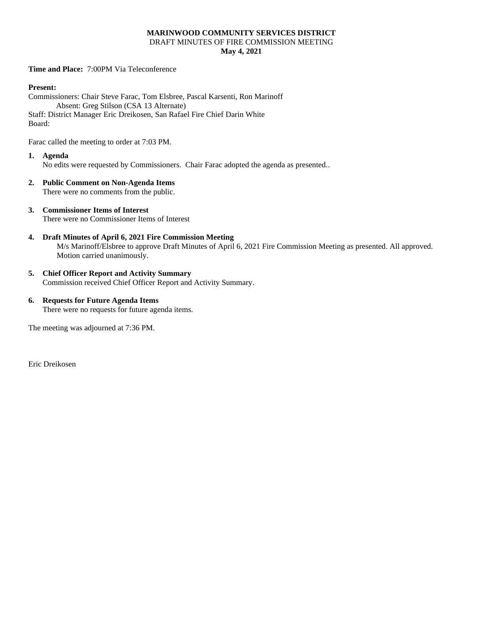#### **MARINWOOD COMMUNITY SERVICES DISTRICT** DRAFT MINUTES OF FIRE COMMISSION MEETING **May 4, 2021**

**Time and Place:** 7:00PM Via Teleconference

#### **Present:**

Commissioners: Chair Steve Farac, Tom Elsbree, Pascal Karsenti, Ron Marinoff Absent: Greg Stilson (CSA 13 Alternate) Staff: District Manager Eric Dreikosen, San Rafael Fire Chief Darin White Board:

Farac called the meeting to order at 7:03 PM.

- **1. Agenda** No edits were requested by Commissioners. Chair Farac adopted the agenda as presented..
- **2. Public Comment on Non-Agenda Items** There were no comments from the public.
- **3. Commissioner Items of Interest** There were no Commissioner Items of Interest
- **4. Draft Minutes of April 6, 2021 Fire Commission Meeting** M/s Marinoff/Elsbree to approve Draft Minutes of April 6, 2021 Fire Commission Meeting as presented. All approved. Motion carried unanimously.
- **5. Chief Officer Report and Activity Summary** Commission received Chief Officer Report and Activity Summary.
- **6. Requests for Future Agenda Items** There were no requests for future agenda items.

The meeting was adjourned at 7:36 PM.

Eric Dreikosen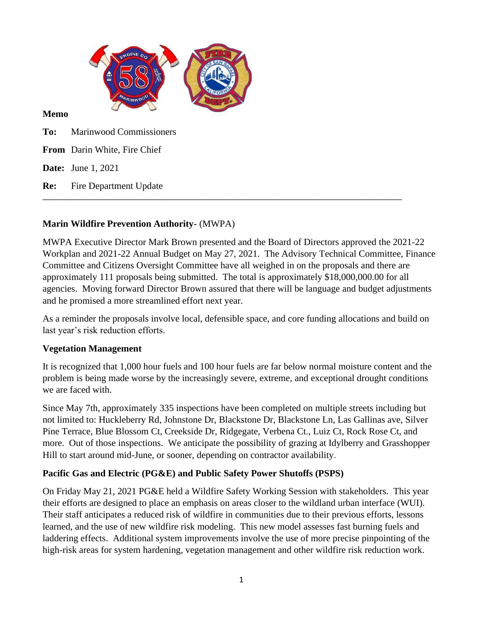

### **Memo**

**To:** Marinwood Commissioners

**From** Darin White, Fire Chief

**Date:** June 1, 2021

**Re:** Fire Department Update

# **Marin Wildfire Prevention Authority-** (MWPA)

MWPA Executive Director Mark Brown presented and the Board of Directors approved the 2021-22 Workplan and 2021-22 Annual Budget on May 27, 2021. The Advisory Technical Committee, Finance Committee and Citizens Oversight Committee have all weighed in on the proposals and there are approximately 111 proposals being submitted. The total is approximately \$18,000,000.00 for all agencies. Moving forward Director Brown assured that there will be language and budget adjustments and he promised a more streamlined effort next year.

\_\_\_\_\_\_\_\_\_\_\_\_\_\_\_\_\_\_\_\_\_\_\_\_\_\_\_\_\_\_\_\_\_\_\_\_\_\_\_\_\_\_\_\_\_\_\_\_\_\_\_\_\_\_\_\_\_\_\_\_\_\_\_\_\_\_\_\_\_\_\_\_\_\_\_\_\_\_\_\_\_\_

As a reminder the proposals involve local, defensible space, and core funding allocations and build on last year's risk reduction efforts.

## **Vegetation Management**

It is recognized that 1,000 hour fuels and 100 hour fuels are far below normal moisture content and the problem is being made worse by the increasingly severe, extreme, and exceptional drought conditions we are faced with.

Since May 7th, approximately 335 inspections have been completed on multiple streets including but not limited to: Huckleberry Rd, Johnstone Dr, Blackstone Dr, Blackstone Ln, Las Gallinas ave, Silver Pine Terrace, Blue Blossom Ct, Creekside Dr, Ridgegate, Verbena Ct., Luiz Ct, Rock Rose Ct, and more. Out of those inspections. We anticipate the possibility of grazing at Idylberry and Grasshopper Hill to start around mid-June, or sooner, depending on contractor availability.

# **Pacific Gas and Electric (PG&E) and Public Safety Power Shutoffs (PSPS)**

On Friday May 21, 2021 PG&E held a Wildfire Safety Working Session with stakeholders. This year their efforts are designed to place an emphasis on areas closer to the wildland urban interface (WUI). Their staff anticipates a reduced risk of wildfire in communities due to their previous efforts, lessons learned, and the use of new wildfire risk modeling. This new model assesses fast burning fuels and laddering effects. Additional system improvements involve the use of more precise pinpointing of the high-risk areas for system hardening, vegetation management and other wildfire risk reduction work.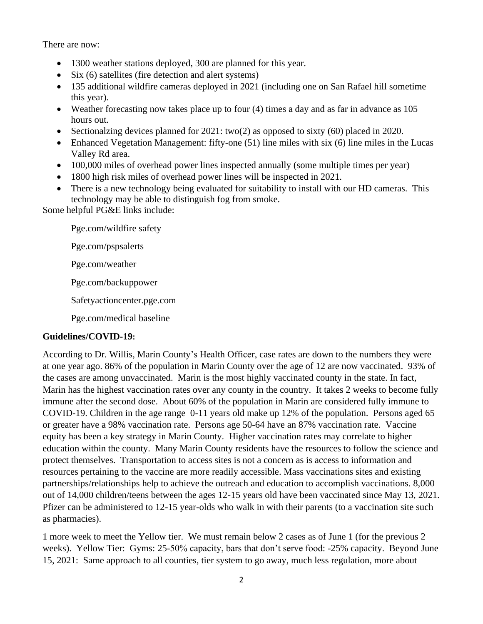There are now:

- 1300 weather stations deployed, 300 are planned for this year.
- Six (6) satellites (fire detection and alert systems)
- 135 additional wildfire cameras deployed in 2021 (including one on San Rafael hill sometime this year).
- Weather forecasting now takes place up to four (4) times a day and as far in advance as 105 hours out.
- Sectionalzing devices planned for 2021: two(2) as opposed to sixty (60) placed in 2020.
- Enhanced Vegetation Management: fifty-one (51) line miles with six (6) line miles in the Lucas Valley Rd area.
- 100,000 miles of overhead power lines inspected annually (some multiple times per year)
- 1800 high risk miles of overhead power lines will be inspected in 2021.
- There is a new technology being evaluated for suitability to install with our HD cameras. This technology may be able to distinguish fog from smoke.

Some helpful PG&E links include:

Pge.com/wildfire safety

Pge.com/pspsalerts

Pge.com/weather

Pge.com/backuppower

Safetyactioncenter.pge.com

Pge.com/medical baseline

## **Guidelines/COVID-19:**

According to Dr. Willis, Marin County's Health Officer, case rates are down to the numbers they were at one year ago. 86% of the population in Marin County over the age of 12 are now vaccinated. 93% of the cases are among unvaccinated. Marin is the most highly vaccinated county in the state. In fact, Marin has the highest vaccination rates over any county in the country. It takes 2 weeks to become fully immune after the second dose. About 60% of the population in Marin are considered fully immune to COVID-19. Children in the age range 0-11 years old make up 12% of the population. Persons aged 65 or greater have a 98% vaccination rate. Persons age 50-64 have an 87% vaccination rate. Vaccine equity has been a key strategy in Marin County. Higher vaccination rates may correlate to higher education within the county. Many Marin County residents have the resources to follow the science and protect themselves. Transportation to access sites is not a concern as is access to information and resources pertaining to the vaccine are more readily accessible. Mass vaccinations sites and existing partnerships/relationships help to achieve the outreach and education to accomplish vaccinations. 8,000 out of 14,000 children/teens between the ages 12-15 years old have been vaccinated since May 13, 2021. Pfizer can be administered to 12-15 year-olds who walk in with their parents (to a vaccination site such as pharmacies).

1 more week to meet the Yellow tier. We must remain below 2 cases as of June 1 (for the previous 2 weeks). Yellow Tier: Gyms: 25-50% capacity, bars that don't serve food: -25% capacity. Beyond June 15, 2021: Same approach to all counties, tier system to go away, much less regulation, more about